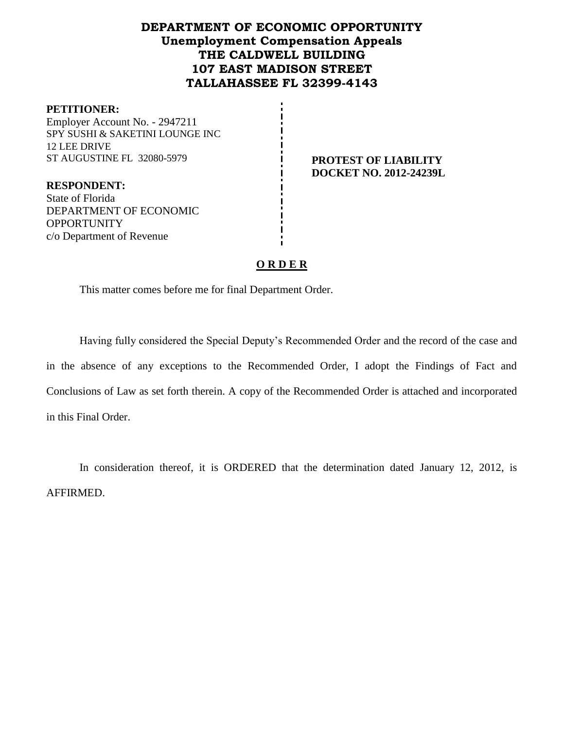# **DEPARTMENT OF ECONOMIC OPPORTUNITY Unemployment Compensation Appeals THE CALDWELL BUILDING 107 EAST MADISON STREET TALLAHASSEE FL 32399-4143**

#### **PETITIONER:**

Employer Account No. - 2947211 SPY SUSHI & SAKETINI LOUNGE INC 12 LEE DRIVE ST AUGUSTINE FL 32080-5979 **PROTEST OF LIABILITY** 

**DOCKET NO. 2012-24239L**

**RESPONDENT:** State of Florida DEPARTMENT OF ECONOMIC **OPPORTUNITY** c/o Department of Revenue

## **O R D E R**

This matter comes before me for final Department Order.

Having fully considered the Special Deputy's Recommended Order and the record of the case and in the absence of any exceptions to the Recommended Order, I adopt the Findings of Fact and Conclusions of Law as set forth therein. A copy of the Recommended Order is attached and incorporated in this Final Order.

In consideration thereof, it is ORDERED that the determination dated January 12, 2012, is AFFIRMED.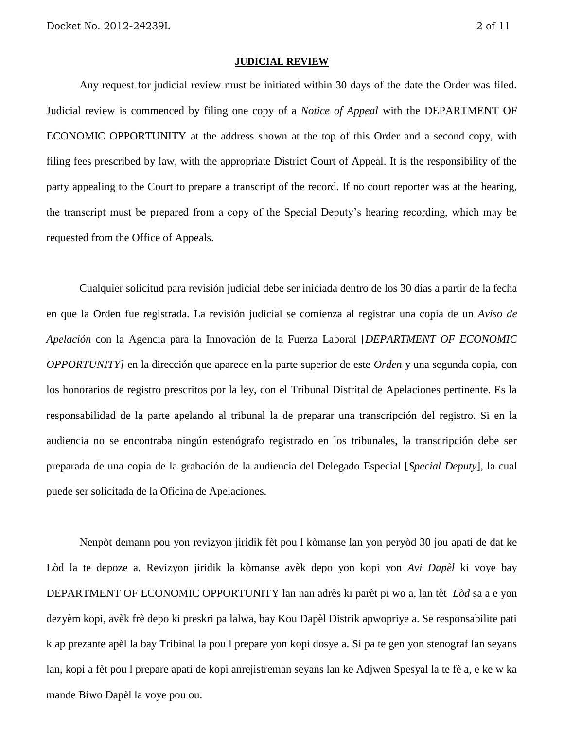#### **JUDICIAL REVIEW**

Any request for judicial review must be initiated within 30 days of the date the Order was filed. Judicial review is commenced by filing one copy of a *Notice of Appeal* with the DEPARTMENT OF ECONOMIC OPPORTUNITY at the address shown at the top of this Order and a second copy, with filing fees prescribed by law, with the appropriate District Court of Appeal. It is the responsibility of the party appealing to the Court to prepare a transcript of the record. If no court reporter was at the hearing, the transcript must be prepared from a copy of the Special Deputy's hearing recording, which may be requested from the Office of Appeals.

Cualquier solicitud para revisión judicial debe ser iniciada dentro de los 30 días a partir de la fecha en que la Orden fue registrada. La revisión judicial se comienza al registrar una copia de un *Aviso de Apelación* con la Agencia para la Innovación de la Fuerza Laboral [*DEPARTMENT OF ECONOMIC OPPORTUNITY]* en la dirección que aparece en la parte superior de este *Orden* y una segunda copia, con los honorarios de registro prescritos por la ley, con el Tribunal Distrital de Apelaciones pertinente. Es la responsabilidad de la parte apelando al tribunal la de preparar una transcripción del registro. Si en la audiencia no se encontraba ningún estenógrafo registrado en los tribunales, la transcripción debe ser preparada de una copia de la grabación de la audiencia del Delegado Especial [*Special Deputy*], la cual puede ser solicitada de la Oficina de Apelaciones.

Nenpòt demann pou yon revizyon jiridik fèt pou l kòmanse lan yon peryòd 30 jou apati de dat ke Lòd la te depoze a. Revizyon jiridik la kòmanse avèk depo yon kopi yon *Avi Dapèl* ki voye bay DEPARTMENT OF ECONOMIC OPPORTUNITY lan nan adrès ki parèt pi wo a, lan tèt *Lòd* sa a e yon dezyèm kopi, avèk frè depo ki preskri pa lalwa, bay Kou Dapèl Distrik apwopriye a. Se responsabilite pati k ap prezante apèl la bay Tribinal la pou l prepare yon kopi dosye a. Si pa te gen yon stenograf lan seyans lan, kopi a fèt pou l prepare apati de kopi anrejistreman seyans lan ke Adjwen Spesyal la te fè a, e ke w ka mande Biwo Dapèl la voye pou ou.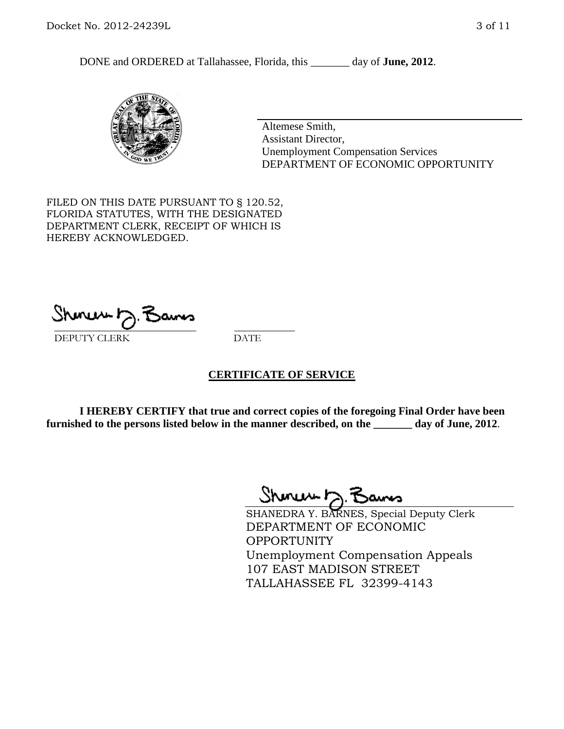DONE and ORDERED at Tallahassee, Florida, this day of **June, 2012**.



Altemese Smith, Assistant Director, Unemployment Compensation Services DEPARTMENT OF ECONOMIC OPPORTUNITY

FILED ON THIS DATE PURSUANT TO § 120.52, FLORIDA STATUTES, WITH THE DESIGNATED DEPARTMENT CLERK, RECEIPT OF WHICH IS HEREBY ACKNOWLEDGED.

 $\mathcal{S}$ hmun $\mapsto$   $\mathcal{S}$ amo DEPUTY CLERK DATE

#### **CERTIFICATE OF SERVICE**

**I HEREBY CERTIFY that true and correct copies of the foregoing Final Order have been furnished to the persons listed below in the manner described, on the \_\_\_\_\_\_\_ day of June, 2012**.

Shoner D. Bams

SHANEDRA Y. BARNES, Special Deputy Clerk DEPARTMENT OF ECONOMIC OPPORTUNITY Unemployment Compensation Appeals 107 EAST MADISON STREET TALLAHASSEE FL 32399-4143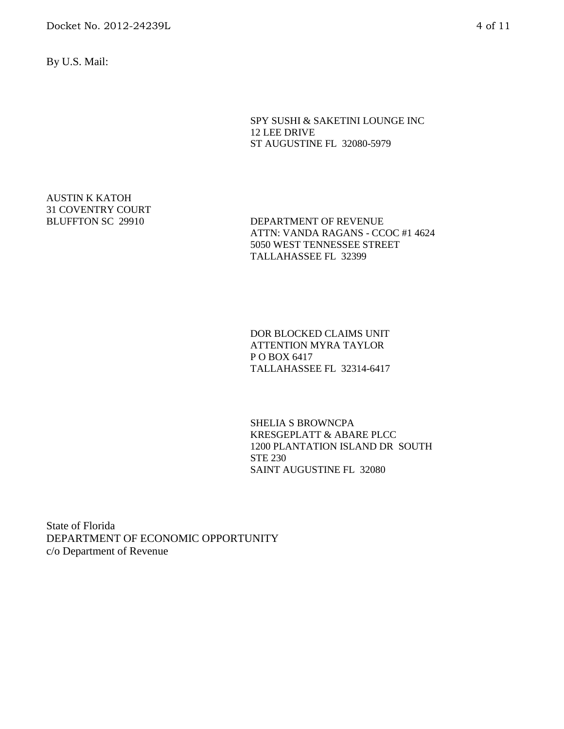By U.S. Mail:

SPY SUSHI & SAKETINI LOUNGE INC 12 LEE DRIVE ST AUGUSTINE FL 32080-5979

AUSTIN K KATOH 31 COVENTRY COURT

BLUFFTON SC 29910 DEPARTMENT OF REVENUE ATTN: VANDA RAGANS - CCOC #1 4624 5050 WEST TENNESSEE STREET TALLAHASSEE FL 32399

> DOR BLOCKED CLAIMS UNIT ATTENTION MYRA TAYLOR P O BOX 6417 TALLAHASSEE FL 32314-6417

SHELIA S BROWNCPA KRESGEPLATT & ABARE PLCC 1200 PLANTATION ISLAND DR SOUTH STE 230 SAINT AUGUSTINE FL 32080

State of Florida DEPARTMENT OF ECONOMIC OPPORTUNITY c/o Department of Revenue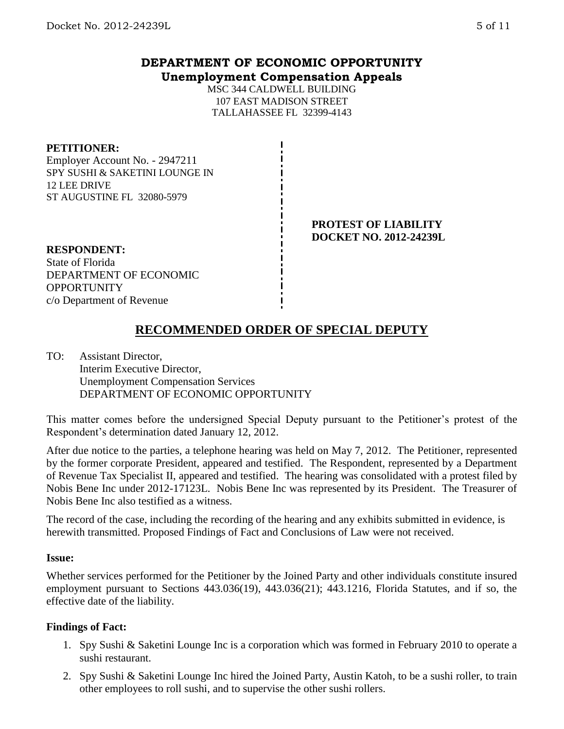## **DEPARTMENT OF ECONOMIC OPPORTUNITY Unemployment Compensation Appeals**

MSC 344 CALDWELL BUILDING 107 EAST MADISON STREET TALLAHASSEE FL 32399-4143

#### **PETITIONER:**

Employer Account No. - 2947211 SPY SUSHI & SAKETINI LOUNGE IN 12 LEE DRIVE ST AUGUSTINE FL 32080-5979

#### **PROTEST OF LIABILITY DOCKET NO. 2012-24239L**

**RESPONDENT:** State of Florida DEPARTMENT OF ECONOMIC **OPPORTUNITY** c/o Department of Revenue

# **RECOMMENDED ORDER OF SPECIAL DEPUTY**

TO: Assistant Director, Interim Executive Director, Unemployment Compensation Services DEPARTMENT OF ECONOMIC OPPORTUNITY

This matter comes before the undersigned Special Deputy pursuant to the Petitioner's protest of the Respondent's determination dated January 12, 2012.

After due notice to the parties, a telephone hearing was held on May 7, 2012. The Petitioner, represented by the former corporate President, appeared and testified. The Respondent, represented by a Department of Revenue Tax Specialist II, appeared and testified. The hearing was consolidated with a protest filed by Nobis Bene Inc under 2012-17123L. Nobis Bene Inc was represented by its President. The Treasurer of Nobis Bene Inc also testified as a witness.

The record of the case, including the recording of the hearing and any exhibits submitted in evidence, is herewith transmitted. Proposed Findings of Fact and Conclusions of Law were not received.

#### **Issue:**

Whether services performed for the Petitioner by the Joined Party and other individuals constitute insured employment pursuant to Sections 443.036(19), 443.036(21); 443.1216, Florida Statutes, and if so, the effective date of the liability.

## **Findings of Fact:**

- 1. Spy Sushi & Saketini Lounge Inc is a corporation which was formed in February 2010 to operate a sushi restaurant.
- 2. Spy Sushi & Saketini Lounge Inc hired the Joined Party, Austin Katoh, to be a sushi roller, to train other employees to roll sushi, and to supervise the other sushi rollers.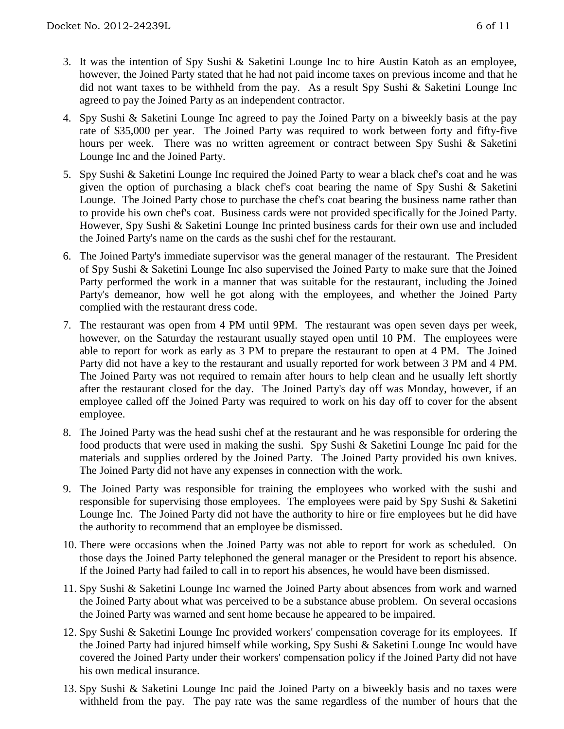- 3. It was the intention of Spy Sushi & Saketini Lounge Inc to hire Austin Katoh as an employee, however, the Joined Party stated that he had not paid income taxes on previous income and that he did not want taxes to be withheld from the pay. As a result Spy Sushi & Saketini Lounge Inc agreed to pay the Joined Party as an independent contractor.
- 4. Spy Sushi & Saketini Lounge Inc agreed to pay the Joined Party on a biweekly basis at the pay rate of \$35,000 per year. The Joined Party was required to work between forty and fifty-five hours per week. There was no written agreement or contract between Spy Sushi & Saketini Lounge Inc and the Joined Party.
- 5. Spy Sushi & Saketini Lounge Inc required the Joined Party to wear a black chef's coat and he was given the option of purchasing a black chef's coat bearing the name of Spy Sushi & Saketini Lounge. The Joined Party chose to purchase the chef's coat bearing the business name rather than to provide his own chef's coat. Business cards were not provided specifically for the Joined Party. However, Spy Sushi & Saketini Lounge Inc printed business cards for their own use and included the Joined Party's name on the cards as the sushi chef for the restaurant.
- 6. The Joined Party's immediate supervisor was the general manager of the restaurant. The President of Spy Sushi & Saketini Lounge Inc also supervised the Joined Party to make sure that the Joined Party performed the work in a manner that was suitable for the restaurant, including the Joined Party's demeanor, how well he got along with the employees, and whether the Joined Party complied with the restaurant dress code.
- 7. The restaurant was open from 4 PM until 9PM. The restaurant was open seven days per week, however, on the Saturday the restaurant usually stayed open until 10 PM. The employees were able to report for work as early as 3 PM to prepare the restaurant to open at 4 PM. The Joined Party did not have a key to the restaurant and usually reported for work between 3 PM and 4 PM. The Joined Party was not required to remain after hours to help clean and he usually left shortly after the restaurant closed for the day. The Joined Party's day off was Monday, however, if an employee called off the Joined Party was required to work on his day off to cover for the absent employee.
- 8. The Joined Party was the head sushi chef at the restaurant and he was responsible for ordering the food products that were used in making the sushi. Spy Sushi & Saketini Lounge Inc paid for the materials and supplies ordered by the Joined Party. The Joined Party provided his own knives. The Joined Party did not have any expenses in connection with the work.
- 9. The Joined Party was responsible for training the employees who worked with the sushi and responsible for supervising those employees. The employees were paid by Spy Sushi & Saketini Lounge Inc. The Joined Party did not have the authority to hire or fire employees but he did have the authority to recommend that an employee be dismissed.
- 10. There were occasions when the Joined Party was not able to report for work as scheduled. On those days the Joined Party telephoned the general manager or the President to report his absence. If the Joined Party had failed to call in to report his absences, he would have been dismissed.
- 11. Spy Sushi & Saketini Lounge Inc warned the Joined Party about absences from work and warned the Joined Party about what was perceived to be a substance abuse problem. On several occasions the Joined Party was warned and sent home because he appeared to be impaired.
- 12. Spy Sushi & Saketini Lounge Inc provided workers' compensation coverage for its employees. If the Joined Party had injured himself while working, Spy Sushi & Saketini Lounge Inc would have covered the Joined Party under their workers' compensation policy if the Joined Party did not have his own medical insurance.
- 13. Spy Sushi & Saketini Lounge Inc paid the Joined Party on a biweekly basis and no taxes were withheld from the pay. The pay rate was the same regardless of the number of hours that the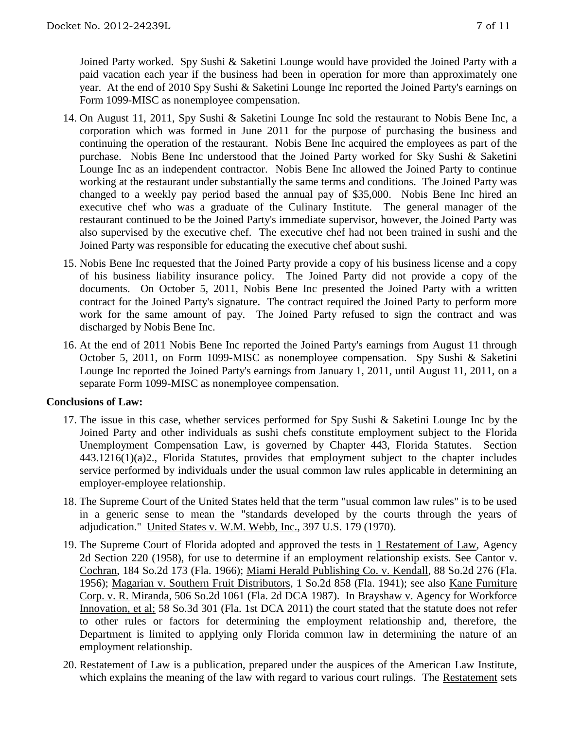Joined Party worked. Spy Sushi & Saketini Lounge would have provided the Joined Party with a paid vacation each year if the business had been in operation for more than approximately one year. At the end of 2010 Spy Sushi & Saketini Lounge Inc reported the Joined Party's earnings on Form 1099-MISC as nonemployee compensation.

- 14. On August 11, 2011, Spy Sushi & Saketini Lounge Inc sold the restaurant to Nobis Bene Inc, a corporation which was formed in June 2011 for the purpose of purchasing the business and continuing the operation of the restaurant. Nobis Bene Inc acquired the employees as part of the purchase. Nobis Bene Inc understood that the Joined Party worked for Sky Sushi & Saketini Lounge Inc as an independent contractor. Nobis Bene Inc allowed the Joined Party to continue working at the restaurant under substantially the same terms and conditions. The Joined Party was changed to a weekly pay period based the annual pay of \$35,000. Nobis Bene Inc hired an executive chef who was a graduate of the Culinary Institute. The general manager of the restaurant continued to be the Joined Party's immediate supervisor, however, the Joined Party was also supervised by the executive chef. The executive chef had not been trained in sushi and the Joined Party was responsible for educating the executive chef about sushi.
- 15. Nobis Bene Inc requested that the Joined Party provide a copy of his business license and a copy of his business liability insurance policy. The Joined Party did not provide a copy of the documents. On October 5, 2011, Nobis Bene Inc presented the Joined Party with a written contract for the Joined Party's signature. The contract required the Joined Party to perform more work for the same amount of pay. The Joined Party refused to sign the contract and was discharged by Nobis Bene Inc.
- 16. At the end of 2011 Nobis Bene Inc reported the Joined Party's earnings from August 11 through October 5, 2011, on Form 1099-MISC as nonemployee compensation. Spy Sushi & Saketini Lounge Inc reported the Joined Party's earnings from January 1, 2011, until August 11, 2011, on a separate Form 1099-MISC as nonemployee compensation.

## **Conclusions of Law:**

- 17. The issue in this case, whether services performed for Spy Sushi & Saketini Lounge Inc by the Joined Party and other individuals as sushi chefs constitute employment subject to the Florida Unemployment Compensation Law, is governed by Chapter 443, Florida Statutes. Section 443.1216(1)(a)2., Florida Statutes, provides that employment subject to the chapter includes service performed by individuals under the usual common law rules applicable in determining an employer-employee relationship.
- 18. The Supreme Court of the United States held that the term "usual common law rules" is to be used in a generic sense to mean the "standards developed by the courts through the years of adjudication." United States v. W.M. Webb, Inc., 397 U.S. 179 (1970).
- 19. The Supreme Court of Florida adopted and approved the tests in 1 Restatement of Law, Agency 2d Section 220 (1958), for use to determine if an employment relationship exists. See Cantor v. Cochran, 184 So.2d 173 (Fla. 1966); Miami Herald Publishing Co. v. Kendall, 88 So.2d 276 (Fla. 1956); Magarian v. Southern Fruit Distributors, 1 So.2d 858 (Fla. 1941); see also Kane Furniture Corp. v. R. Miranda, 506 So.2d 1061 (Fla. 2d DCA 1987). In Brayshaw v. Agency for Workforce Innovation, et al; 58 So.3d 301 (Fla. 1st DCA 2011) the court stated that the statute does not refer to other rules or factors for determining the employment relationship and, therefore, the Department is limited to applying only Florida common law in determining the nature of an employment relationship.
- 20. Restatement of Law is a publication, prepared under the auspices of the American Law Institute, which explains the meaning of the law with regard to various court rulings. The Restatement sets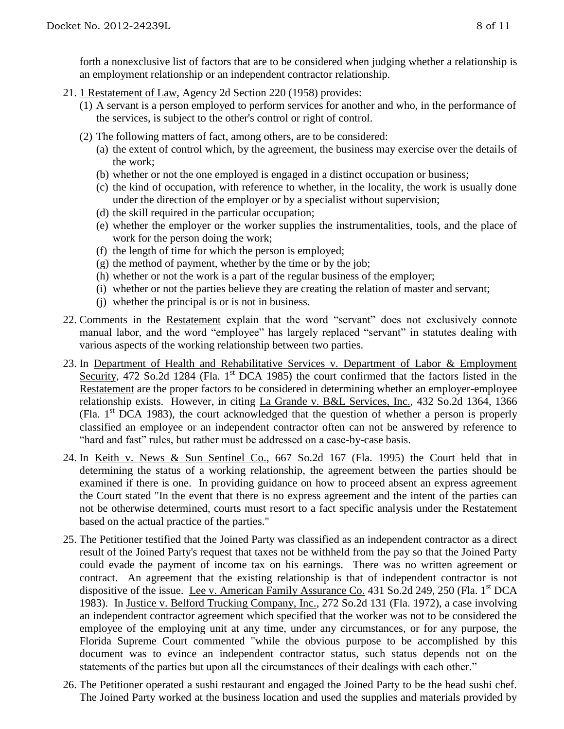forth a nonexclusive list of factors that are to be considered when judging whether a relationship is an employment relationship or an independent contractor relationship.

- 21. 1 Restatement of Law, Agency 2d Section 220 (1958) provides:
	- (1) A servant is a person employed to perform services for another and who, in the performance of the services, is subject to the other's control or right of control.
	- (2) The following matters of fact, among others, are to be considered:
		- (a) the extent of control which, by the agreement, the business may exercise over the details of the work;
		- (b) whether or not the one employed is engaged in a distinct occupation or business;
		- (c) the kind of occupation, with reference to whether, in the locality, the work is usually done under the direction of the employer or by a specialist without supervision;
		- (d) the skill required in the particular occupation;
		- (e) whether the employer or the worker supplies the instrumentalities, tools, and the place of work for the person doing the work;
		- (f) the length of time for which the person is employed;
		- $(g)$  the method of payment, whether by the time or by the job;
		- (h) whether or not the work is a part of the regular business of the employer;
		- (i) whether or not the parties believe they are creating the relation of master and servant;
		- (j) whether the principal is or is not in business.
- 22. Comments in the Restatement explain that the word "servant" does not exclusively connote manual labor, and the word "employee" has largely replaced "servant" in statutes dealing with various aspects of the working relationship between two parties.
- 23. In Department of Health and Rehabilitative Services v. Department of Labor & Employment Security, 472 So.2d 1284 (Fla. 1<sup>st</sup> DCA 1985) the court confirmed that the factors listed in the Restatement are the proper factors to be considered in determining whether an employer-employee relationship exists. However, in citing La Grande v. B&L Services, Inc., 432 So.2d 1364, 1366 (Fla.  $1<sup>st</sup> DCA$  1983), the court acknowledged that the question of whether a person is properly classified an employee or an independent contractor often can not be answered by reference to "hard and fast" rules, but rather must be addressed on a case-by-case basis.
- 24. In Keith v. News & Sun Sentinel Co., 667 So.2d 167 (Fla. 1995) the Court held that in determining the status of a working relationship, the agreement between the parties should be examined if there is one. In providing guidance on how to proceed absent an express agreement the Court stated "In the event that there is no express agreement and the intent of the parties can not be otherwise determined, courts must resort to a fact specific analysis under the Restatement based on the actual practice of the parties."
- 25. The Petitioner testified that the Joined Party was classified as an independent contractor as a direct result of the Joined Party's request that taxes not be withheld from the pay so that the Joined Party could evade the payment of income tax on his earnings. There was no written agreement or contract. An agreement that the existing relationship is that of independent contractor is not dispositive of the issue. Lee v. American Family Assurance Co. 431 So.2d 249, 250 (Fla. 1<sup>st</sup> DCA 1983). In Justice v. Belford Trucking Company, Inc., 272 So.2d 131 (Fla. 1972), a case involving an independent contractor agreement which specified that the worker was not to be considered the employee of the employing unit at any time, under any circumstances, or for any purpose, the Florida Supreme Court commented "while the obvious purpose to be accomplished by this document was to evince an independent contractor status, such status depends not on the statements of the parties but upon all the circumstances of their dealings with each other."
- 26. The Petitioner operated a sushi restaurant and engaged the Joined Party to be the head sushi chef. The Joined Party worked at the business location and used the supplies and materials provided by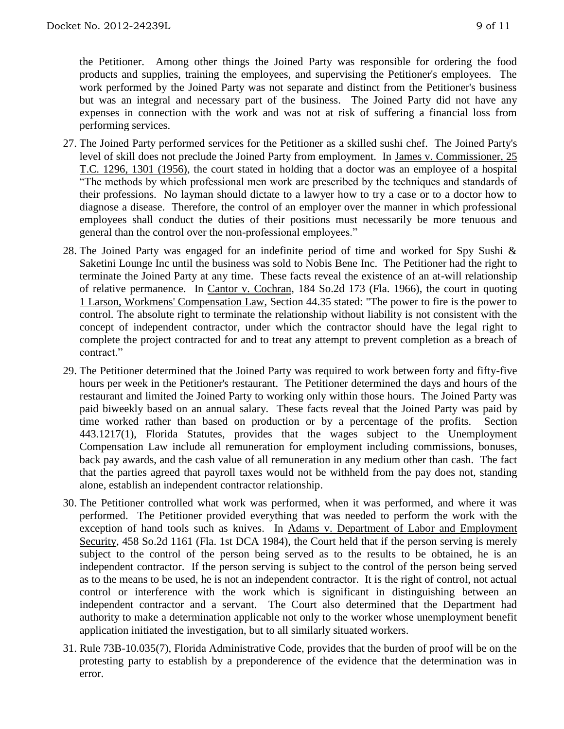the Petitioner. Among other things the Joined Party was responsible for ordering the food products and supplies, training the employees, and supervising the Petitioner's employees. The work performed by the Joined Party was not separate and distinct from the Petitioner's business but was an integral and necessary part of the business. The Joined Party did not have any expenses in connection with the work and was not at risk of suffering a financial loss from performing services.

- 27. The Joined Party performed services for the Petitioner as a skilled sushi chef. The Joined Party's level of skill does not preclude the Joined Party from employment. In James v. Commissioner, 25 T.C. 1296, 1301 (1956), the court stated in holding that a doctor was an employee of a hospital "The methods by which professional men work are prescribed by the techniques and standards of their professions. No layman should dictate to a lawyer how to try a case or to a doctor how to diagnose a disease. Therefore, the control of an employer over the manner in which professional employees shall conduct the duties of their positions must necessarily be more tenuous and general than the control over the non-professional employees."
- 28. The Joined Party was engaged for an indefinite period of time and worked for Spy Sushi & Saketini Lounge Inc until the business was sold to Nobis Bene Inc. The Petitioner had the right to terminate the Joined Party at any time. These facts reveal the existence of an at-will relationship of relative permanence. In Cantor v. Cochran, 184 So.2d 173 (Fla. 1966), the court in quoting 1 Larson, Workmens' Compensation Law, Section 44.35 stated: "The power to fire is the power to control. The absolute right to terminate the relationship without liability is not consistent with the concept of independent contractor, under which the contractor should have the legal right to complete the project contracted for and to treat any attempt to prevent completion as a breach of contract."
- 29. The Petitioner determined that the Joined Party was required to work between forty and fifty-five hours per week in the Petitioner's restaurant. The Petitioner determined the days and hours of the restaurant and limited the Joined Party to working only within those hours. The Joined Party was paid biweekly based on an annual salary. These facts reveal that the Joined Party was paid by time worked rather than based on production or by a percentage of the profits. Section 443.1217(1), Florida Statutes, provides that the wages subject to the Unemployment Compensation Law include all remuneration for employment including commissions, bonuses, back pay awards, and the cash value of all remuneration in any medium other than cash. The fact that the parties agreed that payroll taxes would not be withheld from the pay does not, standing alone, establish an independent contractor relationship.
- 30. The Petitioner controlled what work was performed, when it was performed, and where it was performed. The Petitioner provided everything that was needed to perform the work with the exception of hand tools such as knives. In Adams v. Department of Labor and Employment Security, 458 So.2d 1161 (Fla. 1st DCA 1984), the Court held that if the person serving is merely subject to the control of the person being served as to the results to be obtained, he is an independent contractor. If the person serving is subject to the control of the person being served as to the means to be used, he is not an independent contractor. It is the right of control, not actual control or interference with the work which is significant in distinguishing between an independent contractor and a servant. The Court also determined that the Department had authority to make a determination applicable not only to the worker whose unemployment benefit application initiated the investigation, but to all similarly situated workers.
- 31. Rule 73B-10.035(7), Florida Administrative Code, provides that the burden of proof will be on the protesting party to establish by a preponderence of the evidence that the determination was in error.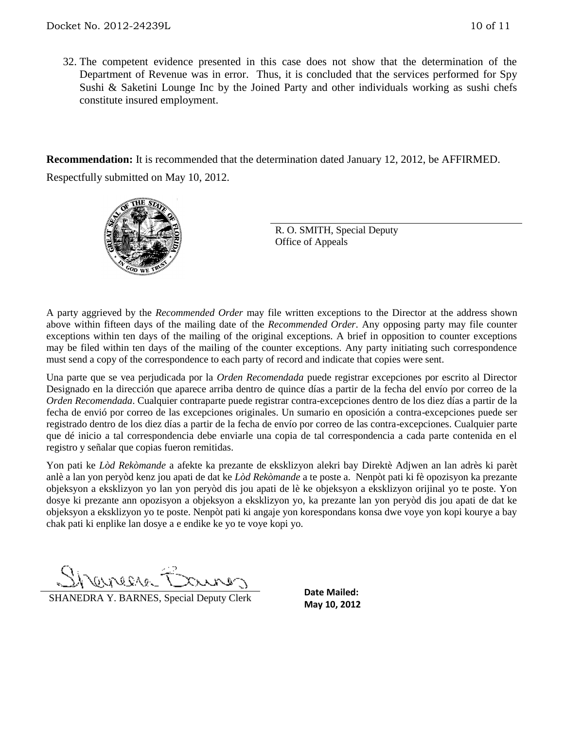32. The competent evidence presented in this case does not show that the determination of the Department of Revenue was in error. Thus, it is concluded that the services performed for Spy Sushi & Saketini Lounge Inc by the Joined Party and other individuals working as sushi chefs constitute insured employment.

**Recommendation:** It is recommended that the determination dated January 12, 2012, be AFFIRMED. Respectfully submitted on May 10, 2012.



R. O. SMITH, Special Deputy Office of Appeals

A party aggrieved by the *Recommended Order* may file written exceptions to the Director at the address shown above within fifteen days of the mailing date of the *Recommended Order*. Any opposing party may file counter exceptions within ten days of the mailing of the original exceptions. A brief in opposition to counter exceptions may be filed within ten days of the mailing of the counter exceptions. Any party initiating such correspondence must send a copy of the correspondence to each party of record and indicate that copies were sent.

Una parte que se vea perjudicada por la *Orden Recomendada* puede registrar excepciones por escrito al Director Designado en la dirección que aparece arriba dentro de quince días a partir de la fecha del envío por correo de la *Orden Recomendada*. Cualquier contraparte puede registrar contra-excepciones dentro de los diez días a partir de la fecha de envió por correo de las excepciones originales. Un sumario en oposición a contra-excepciones puede ser registrado dentro de los diez días a partir de la fecha de envío por correo de las contra-excepciones. Cualquier parte que dé inicio a tal correspondencia debe enviarle una copia de tal correspondencia a cada parte contenida en el registro y señalar que copias fueron remitidas.

Yon pati ke *Lòd Rekòmande* a afekte ka prezante de eksklizyon alekri bay Direktè Adjwen an lan adrès ki parèt anlè a lan yon peryòd kenz jou apati de dat ke *Lòd Rekòmande* a te poste a. Nenpòt pati ki fè opozisyon ka prezante objeksyon a eksklizyon yo lan yon peryòd dis jou apati de lè ke objeksyon a eksklizyon orijinal yo te poste. Yon dosye ki prezante ann opozisyon a objeksyon a eksklizyon yo, ka prezante lan yon peryòd dis jou apati de dat ke objeksyon a eksklizyon yo te poste. Nenpòt pati ki angaje yon korespondans konsa dwe voye yon kopi kourye a bay chak pati ki enplike lan dosye a e endike ke yo te voye kopi yo.

DUVER10

**SHANEDRA Y. BARNES, Special Deputy Clerk** Date Maned:<br>May 10, 2012

**Date Mailed:**